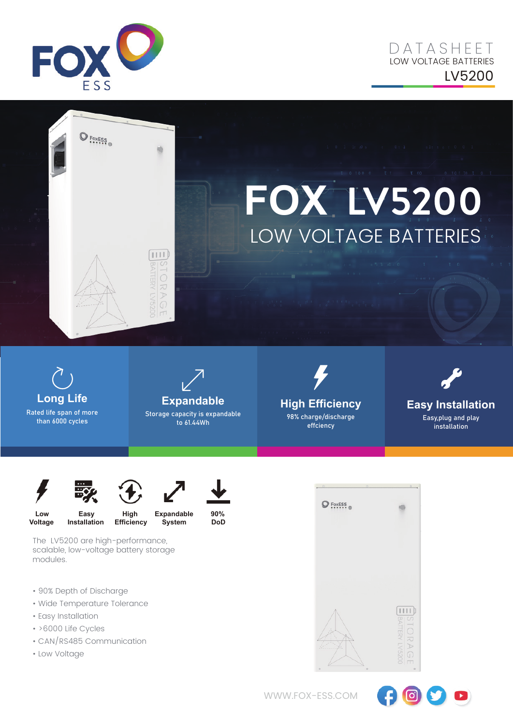

 $\bigcirc$  FoxEss



## LOW VOLTAGE BATTERIES **FOX LV5200**

**Long Life** Rated life span of more than 6000 cycles



 $1111$ 

**High Efficiency** 98% charge/discharge effciency

**Easy Installation** Easy,plug and play installation



**Voltage**







**Expandable System**



The LV5200 are high-performance, scalable, low-voltage battery storage modules.

• 90% Depth of Discharge

**Installation**

- Wide Temperature Tolerance
- Easy Installation
- >6000 Life Cycles
- CAN/RS485 Communication
- Low Voltage



WWW.FOX-ESS.COM